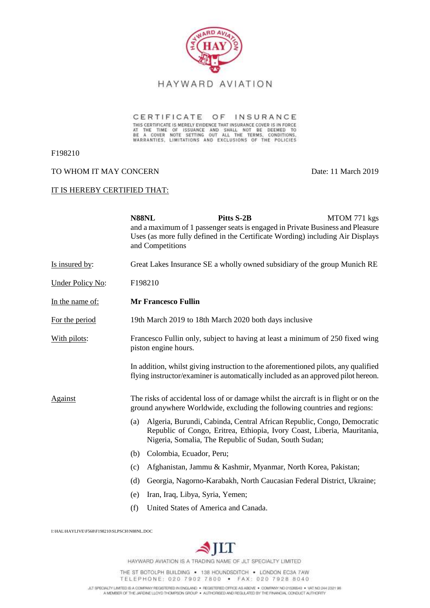

CERTIFICATE OF INSURANCE THIS CERTIFICATE IS MERELY EVIDENCE THAT INSURANCE COVER IS IN FORCE AT THE TIME OF ISSUANCE AND SHALL NOT BE DEEMED TO BE A COVER NOTE SETTING OUT ALL THE TERMS, CONDITIONS, WARRANTIES, LIMITATIONS AND EXCLUSIONS OF THE P

F198210

### TO WHOM IT MAY CONCERN Date: 11 March 2019

#### IT IS HEREBY CERTIFIED THAT:

|                         | N88NL                                                                                                                                                                   | and Competitions                     | Pitts S-2B                                            | MTOM 771 kgs<br>and a maximum of 1 passenger seats is engaged in Private Business and Pleasure<br>Uses (as more fully defined in the Certificate Wording) including Air Displays |
|-------------------------|-------------------------------------------------------------------------------------------------------------------------------------------------------------------------|--------------------------------------|-------------------------------------------------------|----------------------------------------------------------------------------------------------------------------------------------------------------------------------------------|
| Is insured by:          | Great Lakes Insurance SE a wholly owned subsidiary of the group Munich RE                                                                                               |                                      |                                                       |                                                                                                                                                                                  |
| <b>Under Policy No:</b> | F198210                                                                                                                                                                 |                                      |                                                       |                                                                                                                                                                                  |
| In the name of:         | <b>Mr Francesco Fullin</b>                                                                                                                                              |                                      |                                                       |                                                                                                                                                                                  |
| For the period          | 19th March 2019 to 18th March 2020 both days inclusive                                                                                                                  |                                      |                                                       |                                                                                                                                                                                  |
| With pilots:            | Francesco Fullin only, subject to having at least a minimum of 250 fixed wing<br>piston engine hours.                                                                   |                                      |                                                       |                                                                                                                                                                                  |
|                         | In addition, whilst giving instruction to the aforementioned pilots, any qualified<br>flying instructor/examiner is automatically included as an approved pilot hereon. |                                      |                                                       |                                                                                                                                                                                  |
| Against                 | The risks of accidental loss of or damage whilst the aircraft is in flight or on the<br>ground anywhere Worldwide, excluding the following countries and regions:       |                                      |                                                       |                                                                                                                                                                                  |
|                         | (a)                                                                                                                                                                     |                                      | Nigeria, Somalia, The Republic of Sudan, South Sudan; | Algeria, Burundi, Cabinda, Central African Republic, Congo, Democratic<br>Republic of Congo, Eritrea, Ethiopia, Ivory Coast, Liberia, Mauritania,                                |
|                         | (b)                                                                                                                                                                     | Colombia, Ecuador, Peru;             |                                                       |                                                                                                                                                                                  |
|                         | (c)                                                                                                                                                                     |                                      |                                                       | Afghanistan, Jammu & Kashmir, Myanmar, North Korea, Pakistan;                                                                                                                    |
|                         | (d)                                                                                                                                                                     |                                      |                                                       | Georgia, Nagorno-Karabakh, North Caucasian Federal District, Ukraine;                                                                                                            |
|                         | (e)                                                                                                                                                                     | Iran, Iraq, Libya, Syria, Yemen;     |                                                       |                                                                                                                                                                                  |
|                         | (f)                                                                                                                                                                     | United States of America and Canada. |                                                       |                                                                                                                                                                                  |

I:\HAL\HAYLIVE\F568\F198210\SLPSCH\N88NL.DOC



HAYWARD AVIATION IS A TRADING NAME OF JLT SPECIALTY LIMITED

THE ST BOTOLPH BUILDING . 138 HOUNDSDITCH . LONDON EC3A 7AW TELEPHONE: 020 7902 7800 · FAX: 020 7928 8040

JLT SPECIALTY LIMTED IS A COMPANY REGISTERED IN ENGLAND . REGISTERED OFFICE AS ABOVE . COMPANY NO DISSEE B. AND AN ASSESS BE THE JAPONE LICYCLE CONDUCT AUTHORITY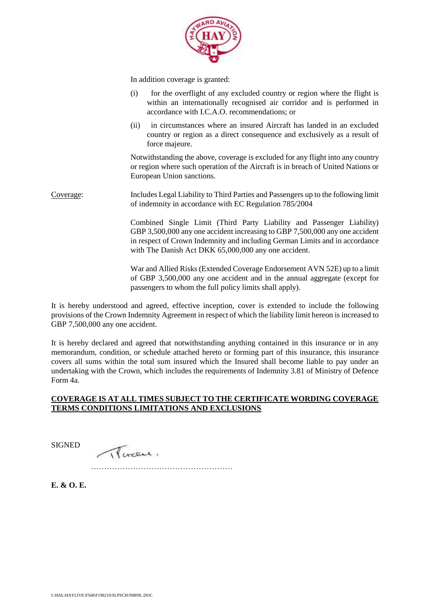

In addition coverage is granted:

- (i) for the overflight of any excluded country or region where the flight is within an internationally recognised air corridor and is performed in accordance with I.C.A.O. recommendations; or
- (ii) in circumstances where an insured Aircraft has landed in an excluded country or region as a direct consequence and exclusively as a result of force majeure.

Notwithstanding the above, coverage is excluded for any flight into any country or region where such operation of the Aircraft is in breach of United Nations or European Union sanctions.

Coverage: Includes Legal Liability to Third Parties and Passengers up to the following limit of indemnity in accordance with EC Regulation 785/2004

> Combined Single Limit (Third Party Liability and Passenger Liability) GBP 3,500,000 any one accident increasing to GBP 7,500,000 any one accident in respect of Crown Indemnity and including German Limits and in accordance with The Danish Act DKK 65,000,000 any one accident.

> War and Allied Risks (Extended Coverage Endorsement AVN 52E) up to a limit of GBP 3,500,000 any one accident and in the annual aggregate (except for passengers to whom the full policy limits shall apply).

It is hereby understood and agreed, effective inception, cover is extended to include the following provisions of the Crown Indemnity Agreement in respect of which the liability limit hereon is increased to GBP 7,500,000 any one accident.

It is hereby declared and agreed that notwithstanding anything contained in this insurance or in any memorandum, condition, or schedule attached hereto or forming part of this insurance, this insurance covers all sums within the total sum insured which the Insured shall become liable to pay under an undertaking with the Crown, which includes the requirements of Indemnity 3.81 of Ministry of Defence Form 4a.

## **COVERAGE IS AT ALL TIMES SUBJECT TO THE CERTIFICATE WORDING COVERAGE TERMS CONDITIONS LIMITATIONS AND EXCLUSIONS**

SIGNED

There.

………………………………………………

**E. & O. E.**